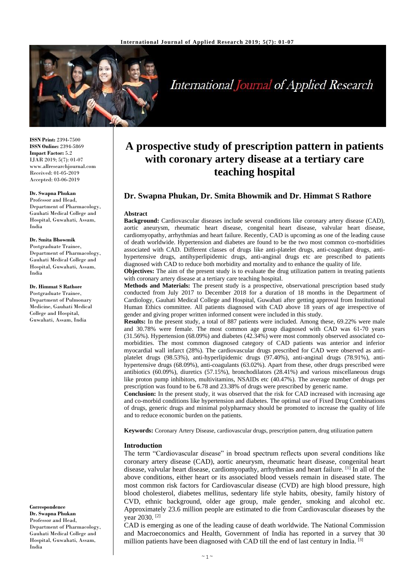

# International Journal of Applied Research

**ISSN Print:** 2394-7500 **ISSN Online:** 2394-5869 **Impact Factor:** 5.2 IJAR 2019; 5(7): 01-07 www.allresearchjournal.com Received: 01-05-2019 Accepted: 03-06-2019

### **Dr. Swapna Phukan**

Professor and Head, Department of Pharmacology, Gauhati Medical College and Hospital, Guwahati, Assam, India

#### **Dr. Smita Bhowmik**

Postgraduate Trainee, Department of Pharmacology, Gauhati Medical College and Hospital, Guwahati, Assam, India

#### **Dr. Himmat S Rathore**

Postgraduate Trainee, Department of Pulmonary Medicine, Gauhati Medical College and Hospital, Guwahati, Assam, India

**Correspondence Dr. Swapna Phukan** Professor and Head, Department of Pharmacology, Gauhati Medical College and Hospital, Guwahati, Assam, India

# **A prospective study of prescription pattern in patients with coronary artery disease at a tertiary care teaching hospital**

# **Dr. Swapna Phukan, Dr. Smita Bhowmik and Dr. Himmat S Rathore**

#### **Abstract**

**Background:** Cardiovascular diseases include several conditions like coronary artery disease (CAD), aortic aneurysm, rheumatic heart disease, congenital heart disease, valvular heart disease, cardiomyopathy, arrhythmias and heart failure. Recently, CAD is upcoming as one of the leading cause of death worldwide. Hypertension and diabetes are found to be the two most common co-morbidities associated with CAD. Different classes of drugs like anti-platelet drugs, anti-coagulant drugs, antihypertensive drugs, antihyperlipidemic drugs, anti-anginal drugs etc are prescribed to patients diagnosed with CAD to reduce both morbidity and mortality and to enhance the quality of life.

**Objectives:** The aim of the present study is to evaluate the drug utilization pattern in treating patients with coronary artery disease at a tertiary care teaching hospital.

**Methods and Materials:** The present study is a prospective, observational prescription based study conducted from July 2017 to December 2018 for a duration of 18 months in the Department of Cardiology, Gauhati Medical College and Hospital, Guwahati after getting approval from Institutional Human Ethics committee. All patients diagnosed with CAD above 18 years of age irrespective of gender and giving proper written informed consent were included in this study.

**Results:** In the present study, a total of 887 patients were included. Among these, 69.22% were male and 30.78% were female. The most common age group diagnosed with CAD was 61-70 years (31.56%). Hypertension (68.09%) and diabetes (42.34%) were most commonly observed associated comorbidities. The most common diagnosed category of CAD patients was anterior and inferior myocardial wall infarct (28%). The cardiovascular drugs prescribed for CAD were observed as antiplatelet drugs (98.53%), anti-hyperlipidemic drugs (97.40%), anti-anginal drugs (78.91%), antihypertensive drugs (68.09%), anti-coagulants (63.02%). Apart from these, other drugs prescribed were antibiotics (60.09%), diuretics (57.15%), bronchodilators (28.41%) and various miscellaneous drugs like proton pump inhibitors, multivitamins, NSAIDs etc (40.47%). The average number of drugs per prescription was found to be 6.78 and 23.38% of drugs were prescribed by generic name.

**Conclusion:** In the present study, it was observed that the risk for CAD increased with increasing age and co-morbid conditions like hypertension and diabetes. The optimal use of Fixed Drug Combinations of drugs, generic drugs and minimal polypharmacy should be promoted to increase the quality of life and to reduce economic burden on the patients.

**Keywords:** Coronary Artery Disease, cardiovascular drugs, prescription pattern, drug utilization pattern

#### **Introduction**

The term "Cardiovascular disease" in broad spectrum reflects upon several conditions like coronary artery disease (CAD), aortic aneurysm, rheumatic heart disease, congenital heart disease, valvular heart disease, cardiomyopathy, arrhythmias and heart failure. <sup>[1]</sup> In all of the above conditions, either heart or its associated blood vessels remain in diseased state. The most common risk factors for Cardiovascular disease (CVD) are high blood pressure, high blood cholesterol, diabetes mellitus, sedentary life style habits, obesity, family history of CVD, ethnic background, older age group, male gender, smoking and alcohol etc. Approximately 23.6 million people are estimated to die from Cardiovascular diseases by the year 2030. [2]

CAD is emerging as one of the leading cause of death worldwide. The National Commission and Macroeconomics and Health, Government of India has reported in a survey that 30 million patients have been diagnosed with CAD till the end of last century in India. [3]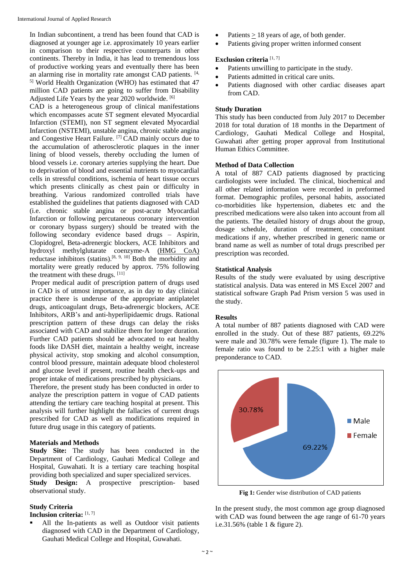In Indian subcontinent, a trend has been found that CAD is diagnosed at younger age i.e. approximately 10 years earlier in comparison to their respective counterparts in other continents. Thereby in India, it has lead to tremendous loss of productive working years and eventually there has been an alarming rise in mortality rate amongst CAD patients. [4, <sup>5]</sup> World Health Organization (WHO) has estimated that 47 million CAD patients are going to suffer from Disability Adjusted Life Years by the year 2020 worldwide. [6]

CAD is a heterogeneous group of clinical manifestations which encompasses acute ST segment elevated Myocardial Infarction (STEMI), non ST segment elevated Myocardial Infarction (NSTEMI), unstable angina, chronic stable angina and Congestive Heart Failure. [7] CAD mainly occurs due to the accumulation of atherosclerotic plaques in the inner lining of blood vessels, thereby occluding the lumen of blood vessels i.e. coronary arteries supplying the heart. Due to deprivation of blood and essential nutrients to myocardial cells in stressful conditions, ischemia of heart tissue occurs which presents clinically as chest pain or difficulty in breathing. Various randomized controlled trials have established the guidelines that patients diagnosed with CAD (i.e. chronic stable angina or post-acute Myocardial Infarction or following percutaneous coronary intervention or coronary bypass surgery) should be treated with the following secondary evidence based drugs – Aspirin, Clopidogrel, Beta-adrenergic blockers, ACE Inhibitors and hydroxyl methylglutarate coenzyme-A (HMG CoA) reductase inhibitors (statins).[8, 9, 10] Both the morbidity and mortality were greatly reduced by approx. 75% following the treatment with these drugs. [11]

Proper medical audit of prescription pattern of drugs used in CAD is of utmost importance, as in day to day clinical practice there is underuse of the appropriate antiplatelet drugs, anticoagulant drugs, Beta-adrenergic blockers, ACE Inhibitors, ARB's and anti-hyperlipidaemic drugs. Rational prescription pattern of these drugs can delay the risks associated with CAD and stabilize them for longer duration. Further CAD patients should be advocated to eat healthy foods like DASH diet, maintain a healthy weight, increase physical activity, stop smoking and alcohol consumption, control blood pressure, maintain adequate blood cholesterol and glucose level if present, routine health check-ups and proper intake of medications prescribed by physicians.

Therefore, the present study has been conducted in order to analyze the prescription pattern in vogue of CAD patients attending the tertiary care teaching hospital at present. This analysis will further highlight the fallacies of current drugs prescribed for CAD as well as modifications required in future drug usage in this category of patients.

#### **Materials and Methods**

**Study Site:** The study has been conducted in the Department of Cardiology, Gauhati Medical College and Hospital, Guwahati. It is a tertiary care teaching hospital providing both specialized and super specialized services.

**Study Design:** A prospective prescription- based observational study.

### **Study Criteria**

**Inclusion criteria:** [1, 7]

 All the In-patients as well as Outdoor visit patients diagnosed with CAD in the Department of Cardiology, Gauhati Medical College and Hospital, Guwahati.

- Patients > 18 years of age, of both gender.
- Patients giving proper written informed consent

# **Exclusion criteria** [1, 7]

- Patients unwilling to participate in the study.
- Patients admitted in critical care units.
- Patients diagnosed with other cardiac diseases apart from CAD.

#### **Study Duration**

This study has been conducted from July 2017 to December 2018 for total duration of 18 months in the Department of Cardiology, Gauhati Medical College and Hospital, Guwahati after getting proper approval from Institutional Human Ethics Committee.

#### **Method of Data Collection**

A total of 887 CAD patients diagnosed by practicing cardiologists were included. The clinical, biochemical and all other related information were recorded in preformed format. Demographic profiles, personal habits, associated co-morbidities like hypertension, diabetes etc and the prescribed medications were also taken into account from all the patients. The detailed history of drugs about the group, dosage schedule, duration of treatment, concomitant medications if any, whether prescribed in generic name or brand name as well as number of total drugs prescribed per prescription was recorded.

# **Statistical Analysis**

Results of the study were evaluated by using descriptive statistical analysis. Data was entered in MS Excel 2007 and statistical software Graph Pad Prism version 5 was used in the study.

#### **Results**

A total number of 887 patients diagnosed with CAD were enrolled in the study. Out of these 887 patients, 69.22% were male and 30.78% were female (figure 1). The male to female ratio was found to be 2.25:1 with a higher male preponderance to CAD.



**Fig 1:** Gender wise distribution of CAD patients

In the present study, the most common age group diagnosed with CAD was found between the age range of 61-70 years i.e.31.56% (table 1 & figure 2).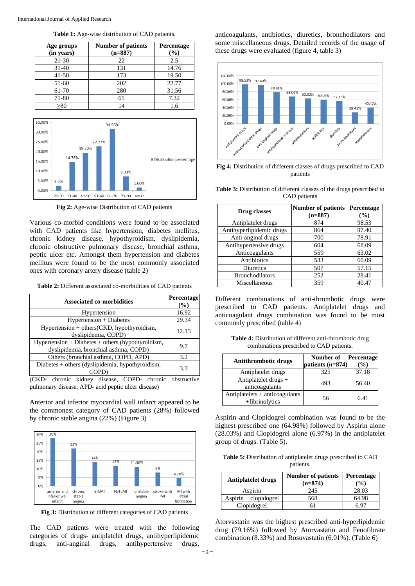| Age groups<br>(in years) | <b>Number of patients</b><br>$(n=887)$ | <b>Percentage</b><br>$(\%)$ |
|--------------------------|----------------------------------------|-----------------------------|
| $21 - 30$                | 22                                     | 2.5                         |
| $31 - 40$                | 131                                    | 14.76                       |
| $41 - 50$                | 173                                    | 19.50                       |
| 51-60                    | 202                                    | 22.77                       |
| 61-70                    | 280                                    | 31.56                       |
| 71-80                    | 65                                     | 7.32                        |
| > 80                     |                                        | 1.6                         |

**Table 1:** Age-wise distribution of CAD patients.



**Fig 2:** Age-wise Distribution of CAD patients

Various co-morbid conditions were found to be associated with CAD patients like hypertension, diabetes mellitus, chronic kidney disease, hypothyroidism, dyslipidemia, chronic obstructive pulmonary disease, bronchial asthma, peptic ulcer etc. Amongst them hypertension and diabetes mellitus were found to be the most commonly associated ones with coronary artery disease (table 2)

**Table 2:** Different associated co-morbidities of CAD patients

| <b>Associated co-morbidities</b>                                                             | Percentage<br>$\%$ |
|----------------------------------------------------------------------------------------------|--------------------|
| Hypertension                                                                                 | 16.92              |
| Hypertension + Diabetes                                                                      | 29.34              |
| $Hypertension + others(CKD, hypothyroidism,$<br>dyslipidemia, COPD)                          | 12.13              |
| $Hypertension + Diabetes + others (hypothyroidism,$<br>dyslipidemia, bronchial asthma, COPD) | 9.7                |
| Others (bronchial asthma, COPD, APD)                                                         | 3.2                |
| Diabetes + others (dyslipidemia, hypothyroidism,                                             | 3.3                |

(CKD- chronic kidney disease, COPD- chronic obstructive pulmonary disease, APD- acid peptic ulcer disease)

Anterior and inferior myocardial wall infarct appeared to be the commonest category of CAD patients (28%) followed by chronic stable angina (22%) (Figure 3)



**Fig 3:** Distribution of different categories of CAD patients

The CAD patients were treated with the following categories of drugs- antiplatelet drugs, antihyperlipidemic drugs, anti-anginal drugs, antihypertensive drugs,

anticoagulants, antibiotics, diuretics, bronchodilators and some miscellaneous drugs. Detailed records of the usage of these drugs were evaluated (figure 4, table 3)



**Fig 4:** Distribution of different classes of drugs prescribed to CAD patients

**Table 3:** Distribution of different classes of the drugs prescribed to CAD patients

| Drug classes             | <b>Number of patients</b><br>$(n=887)$ | Percentage<br>$(\%)$ |
|--------------------------|----------------------------------------|----------------------|
| Antiplatelet drugs       | 874                                    | 98.53                |
| Antihyperlipidemic drugs | 864                                    | 97.40                |
| Anti-anginal drugs       | 700                                    | 78.91                |
| Antihypertensive drugs   | 604                                    | 68.09                |
| Anticoagulants           | 559                                    | 63.02                |
| Antibiotics              | 533                                    | 60.09                |
| Diuretics                | 507                                    | 57.15                |
| <b>Bronchodilators</b>   | 252                                    | 28.41                |
| Miscellaneous            | 359                                    | 40.47                |

Different combinations of anti-thrombotic drugs were prescribed to CAD patients. Antiplatelet drugs and anticoagulant drugs combination was found to be most commonly prescribed (table 4)

**Table 4:** Distribution of different anti-thrombotic drug combinations prescribed to CAD patients.

| <b>Antithrombotic drugs</b>                      | Number of<br>patients (n=874) | <b>Percentage</b><br>$\frac{9}{6}$ |
|--------------------------------------------------|-------------------------------|------------------------------------|
| Antiplatelet drugs                               | 325                           | 37.18                              |
| Antiplatelet drugs $+$<br>anticoagulants         | 493                           | 56.40                              |
| Antiplatelets + anticoagulants<br>+fibrinolytics | 56                            | 6.41                               |

Aspirin and Clopidogrel combination was found to be the highest prescribed one (64.98%) followed by Aspirin alone (28.03%) and Clopidogrel alone (6.97%) in the antiplatelet group of drugs. (Table 5).

**Table 5:** Distribution of antiplatelet drugs prescribed to CAD patients.

| <b>Antiplatelet drugs</b> | <b>Number of patients</b><br>$(n=874)$ | Percentage<br>$\frac{9}{0}$ |
|---------------------------|----------------------------------------|-----------------------------|
| Aspirin                   | 245                                    | 28.03                       |
| $Aspirin + clopidogrel$   | 568                                    | 64.98                       |
| Clopidogrel               |                                        |                             |

Atorvastatin was the highest prescribed anti-hyperlipidemic drug (79.16%) followed by Atorvastatin and Fenofibrate combination (8.33%) and Rosuvastatin (6.01%). (Table 6)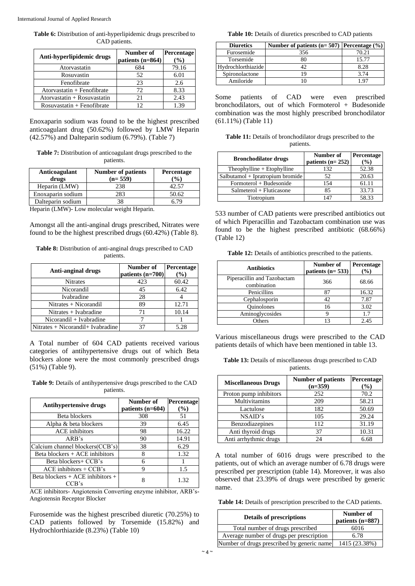**Table 6:** Distribution of anti-hyperlipidemic drugs prescribed to CAD patients.

|                              | Number of          | Percentage |
|------------------------------|--------------------|------------|
| Anti-hyperlipidemic drugs    | patients $(n=864)$ | (%)        |
| Atorvastatin                 | 684                | 79.16      |
| Rosuvastin                   | 52                 | 6.01       |
| Fenofibrate                  | 23                 | 2.6        |
| Atorvastatin + Fenofibrate   | 72                 | 8.33       |
| Atorvastatin + Rosuvastatin  | 21                 | 2.43       |
| $Rosuvastatin + Fenofibrate$ | 12                 | 1 39       |

Enoxaparin sodium was found to be the highest prescribed anticoagulant drug (50.62%) followed by LMW Heparin (42.57%) and Dalteparin sodium (6.79%). (Table 7)

| <b>Table 7:</b> Distribution of anticoagulant drugs prescribed to the |  |
|-----------------------------------------------------------------------|--|
| patients.                                                             |  |

| <b>Anticoagulant</b><br>drugs | <b>Number of patients</b><br>$(n=559)$ | <b>Percentage</b><br>$\mathcal{O}_0$ |
|-------------------------------|----------------------------------------|--------------------------------------|
| Heparin (LMW)                 | 238                                    |                                      |
| Enoxaparin sodium             | 283                                    | 50.62                                |
| Dalteparin sodium             |                                        |                                      |

Heparin (LMW)- Low molecular weight Heparin.

Amongst all the anti-anginal drugs prescribed, Nitrates were found to be the highest prescribed drugs (60.42%) (Table 8).

**Table 8:** Distribution of anti-anginal drugs prescribed to CAD patients.

| Anti-anginal drugs                | Number of          | Percentage |
|-----------------------------------|--------------------|------------|
|                                   | patients $(n=700)$ | $\%$       |
| <b>Nitrates</b>                   | 423                | 60.42      |
| Nicorandil                        | 45                 | 6.42       |
| Ivabradine                        | 28                 |            |
| $Nitrates + Nicorandil$           | 89                 | 12.71      |
| $Nitrates + Ivabradine$           | 71                 | 10.14      |
| Nicorandil + Ivabradine           |                    |            |
| Nitrates + Nicorandil+ Ivabradine | 37                 | 5.28       |

A Total number of 604 CAD patients received various categories of antihypertensive drugs out of which Beta blockers alone were the most commonly prescribed drugs (51%) (Table 9).

**Table 9:** Details of antihypertensive drugs prescribed to the CAD patients.

| <b>Antihypertensive drugs</b>                 | Number of<br>patients $(n=604)$ | Percentage<br>(%) |
|-----------------------------------------------|---------------------------------|-------------------|
| Beta blockers                                 | 308                             | 51                |
| Alpha & beta blockers                         | 39                              | 6.45              |
| <b>ACE</b> inhibitors                         | 98                              | 16.22             |
| ARB's                                         | 90                              | 14.91             |
| Calcium channel blockers(CCB's)               | 38                              | 6.29              |
| Beta blockers + ACE inhibitors                | 8                               | 1.32              |
| Beta blockers+ CCB's                          | 6                               |                   |
| $ACE$ inhibitors + $CCB$ 's                   | Q                               | 1.5               |
| Beta blockers $+$ ACE inhibitors $+$<br>CCB's |                                 | 1.32              |

ACE inhibitors- Angiotensin Converting enzyme inhibitor, ARB's-Angiotensin Receptor Blocker

Furosemide was the highest prescribed diuretic (70.25%) to CAD patients followed by Torsemide (15.82%) and Hydrochlorthiazide (8.23%) (Table 10)

**Table 10:** Details of diuretics prescribed to CAD patients

| <b>Diuretics</b>   | Number of patients ( $n=507$ ) Percentage (%) |       |
|--------------------|-----------------------------------------------|-------|
| Furosemide         | 356                                           | 70.21 |
| Torsemide          |                                               | 15.77 |
| Hydrochlorthiazide |                                               | 8.28  |
| Spironolactone     |                                               | 3.74  |
| Amiloride          |                                               | . റ~  |

Some patients of CAD were even prescribed bronchodilators, out of which Formoterol + Budesonide combination was the most highly prescribed bronchodilator (61.11%) (Table 11)

**Table 11:** Details of bronchodilator drugs prescribed to the patients.

| <b>Bronchodilator drugs</b>      | Number of<br>patients $(n=252)$ | Percentage<br>$\%$ |
|----------------------------------|---------------------------------|--------------------|
| Theophylline $+$ Etophylline     | 132                             | 52.38              |
| Salbutamol + Ipratropium bromide | 52                              | 20.63              |
| Formoterol + Budesonide          | 154                             | 61.11              |
| $Salmeterol + Fluticasone$       | 85                              | 33.73              |
| Tiotropium                       | 147                             | 58.33              |

533 number of CAD patients were prescribed antibiotics out of which Piperacillin and Tazobactam combination use was found to be the highest prescribed antibiotic (68.66%) (Table 12)

**Table 12:** Details of antibiotics prescribed to the patients.

| <b>Antibiotics</b>                         | Number of<br>patients $(n=533)$ | Percentage<br>$(\%)$ |
|--------------------------------------------|---------------------------------|----------------------|
| Piperacillin and Tazobactam<br>combination | 366                             | 68.66                |
| Penicillins                                | 87                              | 16.32                |
| Cephalosporin                              | 42                              | 7.87                 |
| <b>Ouinolones</b>                          | 16                              | 3.02                 |
| Aminoglycosides                            |                                 | 1.7                  |
| <b>Others</b>                              |                                 | 2.45                 |

Various miscellaneous drugs were prescribed to the CAD patients details of which have been mentioned in table 13.

**Table 13:** Details of miscellaneous drugs prescribed to CAD patients.

| <b>Miscellaneous Drugs</b> | <b>Number of patients</b><br>$(n=359)$ | Percentage<br>$(\%)$ |
|----------------------------|----------------------------------------|----------------------|
| Proton pump inhibitors     | 252                                    | 70.2                 |
| Multivitamins              | 209                                    | 58.21                |
| Lactulose                  | 182                                    | 50.69                |
| NSAID's                    | 105                                    | 29.24                |
| Benzodiazepines            | 112                                    | 31.19                |
| Anti thyroid drugs         | 37                                     | 10.31                |
| Anti arrhythmic drugs      | 24                                     | 6.68                 |

A total number of 6016 drugs were prescribed to the patients, out of which an average number of 6.78 drugs were prescribed per prescription (table 14). Moreover, it was also observed that 23.39% of drugs were prescribed by generic name.

**Table 14:** Details of prescription prescribed to the CAD patients.

| <b>Details of prescriptions</b>            | Number of<br>patients (n=887) |
|--------------------------------------------|-------------------------------|
| Total number of drugs prescribed           | 6016                          |
| Average number of drugs per prescription   | 6.78                          |
| Number of drugs prescribed by generic name | 1415 (23.38%)                 |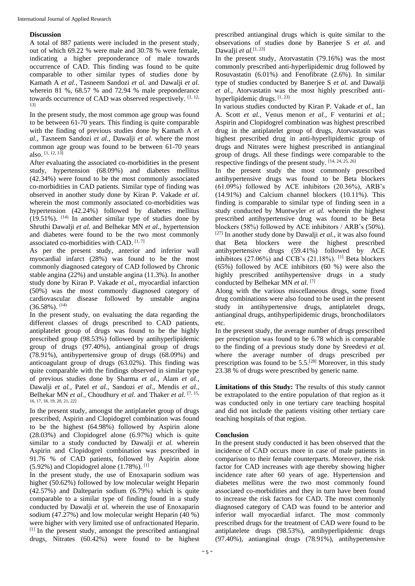# **Discussion**

A total of 887 patients were included in the present study, out of which 69.22 % were male and 30.78 % were female, indicating a higher preponderance of male towards occurrence of CAD. This finding was found to be quite comparable to other similar types of studies done by Kamath A *et al.*, Tasneem Sandozi *et al.* and Dawalji *et al.* wherein 81 %, 68.57 % and 72.94 % male preponderance towards occurrence of CAD was observed respectively. [1, 12, 13]

In the present study, the most common age group was found to be between 61-70 years. This finding is quite comparable with the finding of previous studies done by Kamath A *et al.*, Tasneem Sandozi *et al.*, Dawalji *et al.* where the most common age group was found to be between 61-70 years also.  $[1, 12, 13]$ 

After evaluating the associated co-morbidities in the present study, hypertension (68.09%) and diabetes mellitus (42.34%) were found to be the most commonly associated co-morbidities in CAD patients. Similar type of finding was observed in another study done by Kiran P. Vakade *et al.* wherein the most commonly associated co-morbidities was hypertension (42.24%) followed by diabetes mellitus  $(19.51\%)$ . <sup>(14)</sup> In another similar type of studies done by Shruthi Dawalji *et al.* and Belhekar MN *et al.*, hypertension and diabetes were found to be the two most commonly associated co-morbidities with CAD. [1,7]

As per the present study, anterior and inferior wall myocardial infarct (28%) was found to be the most commonly diagnosed category of CAD followed by Chronic stable angina (22%) and unstable angina (11.3%). In another study done by Kiran P. Vakade *et al.*, myocardial infarction (50%) was the most commonly diagnosed category of cardiovascular disease followed by unstable angina  $(36.58\%)$ . <sup>(14)</sup>

In the present study, on evaluating the data regarding the different classes of drugs prescribed to CAD patients, antiplatelet group of drugs was found to be the highly prescribed group (98.53%) followed by antihyperlipidemic group of drugs (97.40%), antianginal group of drugs (78.91%), antihypertensive group of drugs (68.09%) and anticoagulant group of drugs (63.02%). This finding was quite comparable with the findings observed in similar type of previous studies done by Sharma *et al.*, Alam *et al.*, Dawalji *et al.*, Patel *et al.*, Sandozi *et al.*, Mendis *et al.*, Belhekar MN *et al.*, Choudhury *et al.* and Thaker *et al.* [7, 15, 16, 17, 18, 19, 20, 21, 22]

In the present study, amongst the antiplatelet group of drugs prescribed, Aspirin and Clopidogrel combination was found to be the highest (64.98%) followed by Aspirin alone (28.03%) and Clopidogrel alone (6.97%) which is quite similar to a study conducted by Dawalji *et al.* wherein Aspirin and Clopidogrel combination was prescribed in 91.76 % of CAD patients, followed by Aspirin alone (5.92%) and Clopidogrel alone (1.78%). [1]

In the present study, the use of Enoxaparin sodium was higher (50.62%) followed by low molecular weight Heparin (42.57%) and Dalteparin sodium (6.79%) which is quite comparable to a similar type of finding found in a study conducted by Dawalji *et al.* wherein the use of Enoxaparin sodium (47.27%) and low molecular weight Heparin (40 %) were higher with very limited use of unfractionated Heparin.  $[1]$  In the present study, amongst the prescribed antianginal drugs, Nitrates (60.42%) were found to be highest prescribed antianginal drugs which is quite similar to the observations of studies done by Banerjee S *et al.* and Dawalji et al.<sup>[1, 23]</sup>

In the present study, Atorvastatin (79.16%) was the most commonly prescribed anti-hyperlipidemic drug followed by Rosuvastatin (6.01%) and Fenofibrate (2.6%). In similar type of studies conducted by Banerjee S *et al.* and Dawalji *et al.*, Atorvastatin was the most highly prescribed antihyperlipidemic drugs. [1, 23]

In various studies conducted by Kiran P. Vakade *et al.*, Ian A. Scott *et al.*, Venus menon *et al.*, F venturini *et al.*; Aspirin and Clopidogrel combination was highest prescribed drug in the antiplatelet group of drugs, Atorvastatin was highest prescribed drug in anti-hyperlipidemic group of drugs and Nitrates were highest prescribed in antianginal group of drugs. All these findings were comparable to the respective findings of the present study. [14, 24, 25, 26]

In the present study the most commonly prescribed antihypertensive drugs was found to be Beta blockers  $(61.09%)$  followed by ACE inhibitors  $(20.36%)$ , ARB's (14.91%) and Calcium channel blockers (10.11%). This finding is comparable to similar type of finding seen in a study conducted by Muntwyler *et al.* wherein the highest prescribed antihypertensive drug was found to be Beta blockers (58%) followed by ACE inhibitors / ARB's (50%).  $[27]$  In another study done by Dawalii *et al.*, it was also found that Beta blockers were the highest prescribed antihypertensive drugs (59.41%) followed by ACE inhibitors (27.06%) and CCB's (21.18%).  $[1]$  Beta blockers (65%) followed by ACE inhibitors (60 %) were also the highly prescribed antihypertensive drugs in a study conducted by Belhekar MN *et al.* [7]

Along with the various miscellaneous drugs, some fixed drug combinations were also found to be used in the present study in antihypertensive drugs, antiplatelet drugs, antianginal drugs, antihyperlipidemic drugs, bronchodilators etc.

In the present study, the average number of drugs prescribed per prescription was found to be 6.78 which is comparable to the finding of a previous study done by Sreedevi *et al.* where the average number of drugs prescribed per prescription was found to be  $5.5$ .<sup>[28]</sup> Moreover, in this study 23.38 % of drugs were prescribed by generic name.

**Limitations of this Study:** The results of this study cannot be extrapolated to the entire population of that region as it was conducted only in one tertiary care teaching hospital and did not include the patients visiting other tertiary care teaching hospitals of that region.

# **Conclusion**

In the present study conducted it has been observed that the incidence of CAD occurs more in case of male patients in comparison to their female counterparts. Moreover, the risk factor for CAD increases with age thereby showing higher incidence rate after 60 years of age. Hypertension and diabetes mellitus were the two most commonly found associated co-morbidities and they in turn have been found to increase the risk factors for CAD. The most commonly diagnosed category of CAD was found to be anterior and inferior wall myocardial infarct. The most commonly prescribed drugs for the treatment of CAD were found to be antiplatelete drugs (98.53%), antihyperlipidemic drugs (97.40%), antianginal drugs (78.91%), antihypertensive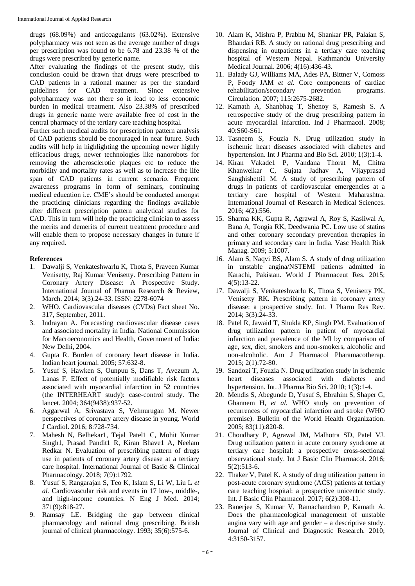drugs (68.09%) and anticoagulants (63.02%). Extensive polypharmacy was not seen as the average number of drugs per prescription was found to be 6.78 and 23.38 % of the drugs were prescribed by generic name.

After evaluating the findings of the present study, this conclusion could be drawn that drugs were prescribed to CAD patients in a rational manner as per the standard guidelines for CAD treatment. Since extensive polypharmacy was not there so it lead to less economic burden in medical treatment. Also 23.38% of prescribed drugs in generic name were available free of cost in the central pharmacy of the tertiary care teaching hospital.

Further such medical audits for prescription pattern analysis of CAD patients should be encouraged in near future. Such audits will help in highlighting the upcoming newer highly efficacious drugs, newer technologies like nanorobots for removing the atherosclerotic plaques etc to reduce the morbidity and mortality rates as well as to increase the life span of CAD patients in current scenario. Frequent awareness programs in form of seminars, continuing medical education i.e. CME's should be conducted amongst the practicing clinicians regarding the findings available after different prescription pattern analytical studies for CAD. This in turn will help the practicing clinician to assess the merits and demerits of current treatment procedure and will enable them to propose necessary changes in future if any required.

# **References**

- 1. Dawalji S, Venkateshwarlu K, Thota S, Praveen Kumar Venisetty, Raj Kumar Venisetty. Prescribing Pattern in Coronary Artery Disease: A Prospective Study. International Journal of Pharma Research & Review, March. 2014; 3(3):24-33. ISSN: 2278-6074
- 2. WHO. Cardiovascular diseases (CVDs) Fact sheet No. 317, September, 2011.
- 3. Indrayan A. Forecasting cardiovascular disease cases and associated mortality in India. National Commission for Macroeconomics and Health, Government of India: New Delhi, 2004.
- 4. Gupta R. Burden of coronary heart disease in India. Indian heart journal. 2005; 57:632-8.
- 5. Yusuf S, Hawken S, Ounpuu S, Dans T, Avezum A, Lanas F. Effect of potentially modifiable risk factors associated with myocardial infarction in 52 countries (the INTERHEART study): case-control study. The lancet. 2004; 364(9438):937-52.
- 6. Aggarwal A, Srivastava S, Velmurugan M. Newer perspectives of coronary artery disease in young. World J Cardiol. 2016; 8:728-734.
- 7. Mahesh N, Belhekar1, Tejal Patel1 C, Mohit Kumar Singh1, Prasad Pandit1 R, Kiran Bhave1 A, Neelam Redkar N. Evaluation of prescribing pattern of drugs use in patients of coronary artery disease at a tertiary care hospital. International Journal of Basic & Clinical Pharmacology. 2018; 7(9):1792.
- 8. Yusuf S, Rangarajan S, Teo K, Islam S, Li W, Liu L *et al.* Cardiovascular risk and events in 17 low-, middle-, and high-income countries. N Eng J Med. 2014; 371(9):818-27.
- 9. Ramsay LE. Bridging the gap between clinical pharmacology and rational drug prescribing. British journal of clinical pharmacology. 1993; 35(6):575-6.
- 10. Alam K, Mishra P, Prabhu M, Shankar PR, Palaian S, Bhandari RB. A study on rational drug prescribing and dispensing in outpatients in a tertiary care teaching hospital of Western Nepal. Kathmandu University Medical Journal. 2006; 4(16):436-43.
- 11. Balady GJ, Williams MA, Ades PA, Bittner V, Comoss P, Foody JAM *et al.* Core components of cardiac rehabilitation/secondary prevention programs. rehabilitation/secondary prevention programs. Circulation. 2007; 115:2675-2682.
- 12. Kamath A, Shanbhag T, Shenoy S, Ramesh S. A retrospective study of the drug prescribing pattern in acute myocardial infarction. Ind J Pharmacol. 2008; 40:S60-S61.
- 13. Tasneem S, Fouzia N. Drug utilization study in ischemic heart diseases associated with diabetes and hypertension. Int J Pharma and Bio Sci. 2010; 1(3):1-4.
- 14. Kiran Vakade1 P, Vandana Thorat M, Chitra Khanwelkar C, Sujata Jadhav A, Vijayprasad Sanghishetti1 M. A study of prescribing pattern of drugs in patients of cardiovascular emergencies at a tertiary care hospital of Western Maharashtra. International Journal of Research in Medical Sciences. 2016; 4(2):556.
- 15. Sharma KK, Gupta R, Agrawal A, Roy S, Kasliwal A, Bana A, Tongia RK, Deedwania PC. Low use of statins and other coronary secondary prevention therapies in primary and secondary care in India. Vasc Health Risk Manag. 2009; 5:1007.
- 16. Alam S, Naqvi BS, Alam S. A study of drug utilization in unstable angina/NSTEMI patients admitted in Karachi, Pakistan. World J Pharmaceut Res. 2015; 4(5):13-22.
- 17. Dawalji S, Venkateshwarlu K, Thota S, Venisetty PK, Venisetty RK. Prescribing pattern in coronary artery disease: a prospective study. Int. J Pharm Res Rev. 2014; 3(3):24-33.
- 18. Patel R, Jawaid T, Shukla KP, Singh PM. Evaluation of drug utilization pattern in patient of myocardial infarction and prevalence of the MI by comparison of age, sex, diet, smokers and non-smokers, alcoholic and non-alcoholic. Am J Pharmacol Pharamacotherap. 2015; 2(1):72-80.
- 19. Sandozi T, Fouzia N. Drug utilization study in ischemic heart diseases associated with diabetes and hypertension. Int. J Pharma Bio Sci. 2010; 1(3):1-4.
- 20. Mendis S, Abegunde D, Yusuf S, Ebrahim S, Shaper G, Ghannem H, *et al.* WHO study on prevention of recurrences of myocardial infarction and stroke (WHO premise). Bulletin of the World Health Organization. 2005; 83(11):820-8.
- 21. Choudhary P, Agrawal JM, Malhotra SD, Patel VJ. Drug utilization pattern in acute coronary syndrome at tertiary care hospital: a prospective cross-sectional observational study. Int J Basic Clin Pharmacol. 2016; 5(2):513-6.
- 22. Thaker V, Patel K. A study of drug utilization pattern in post-acute coronary syndrome (ACS) patients at tertiary care teaching hospital: a prospective unicentric study. Int. J Basic Clin Pharmacol. 2017; 6(2):308-11.
- 23. Banerjee S, Kumar V, Ramachandran P, Kamath A. Does the pharmacological management of unstable angina vary with age and gender  $-$  a descriptive study. Journal of Clinical and Diagnostic Research. 2010; 4:3150-3157.